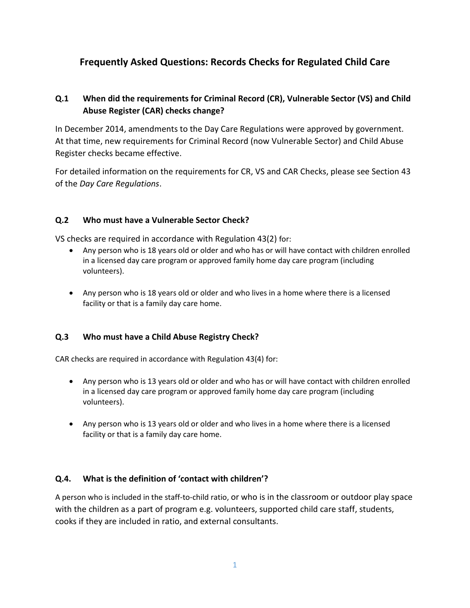# **Frequently Asked Questions: Records Checks for Regulated Child Care**

### **Q.1 When did the requirements for Criminal Record (CR), Vulnerable Sector (VS) and Child Abuse Register (CAR) checks change?**

In December 2014, amendments to the Day Care Regulations were approved by government. At that time, new requirements for Criminal Record (now Vulnerable Sector) and Child Abuse Register checks became effective.

For detailed information on the requirements for CR, VS and CAR Checks, please see Section 43 of the *Day Care Regulations*.

#### **Q.2 Who must have a Vulnerable Sector Check?**

VS checks are required in accordance with Regulation 43(2) for:

- Any person who is 18 years old or older and who has or will have contact with children enrolled in a licensed day care program or approved family home day care program (including volunteers).
- Any person who is 18 years old or older and who lives in a home where there is a licensed facility or that is a family day care home.

#### **Q.3 Who must have a Child Abuse Registry Check?**

CAR checks are required in accordance with Regulation 43(4) for:

- Any person who is 13 years old or older and who has or will have contact with children enrolled in a licensed day care program or approved family home day care program (including volunteers).
- Any person who is 13 years old or older and who lives in a home where there is a licensed facility or that is a family day care home.

#### **Q.4. What is the definition of 'contact with children'?**

A person who is included in the staff-to-child ratio, or who is in the classroom or outdoor play space with the children as a part of program e.g. volunteers, supported child care staff, students, cooks if they are included in ratio, and external consultants.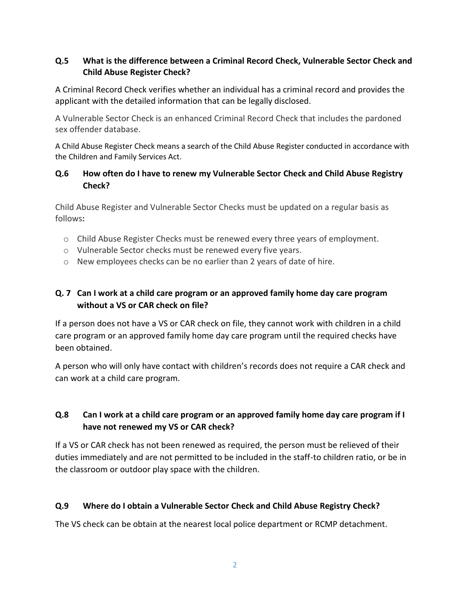#### **Q.5 What is the difference between a Criminal Record Check, Vulnerable Sector Check and Child Abuse Register Check?**

A Criminal Record Check verifies whether an individual has a criminal record and provides the applicant with the detailed information that can be legally disclosed.

A Vulnerable Sector Check is an enhanced Criminal Record Check that includes the pardoned sex offender database.

A Child Abuse Register Check means a search of the Child Abuse Register conducted in accordance with the Children and Family Services Act.

### **Q.6 How often do I have to renew my Vulnerable Sector Check and Child Abuse Registry Check?**

Child Abuse Register and Vulnerable Sector Checks must be updated on a regular basis as follows**:** 

- o Child Abuse Register Checks must be renewed every three years of employment.
- o Vulnerable Sector checks must be renewed every five years.
- o New employees checks can be no earlier than 2 years of date of hire.

### **Q. 7 Can I work at a child care program or an approved family home day care program without a VS or CAR check on file?**

If a person does not have a VS or CAR check on file, they cannot work with children in a child care program or an approved family home day care program until the required checks have been obtained.

A person who will only have contact with children's records does not require a CAR check and can work at a child care program.

## **Q.8 Can I work at a child care program or an approved family home day care program if I have not renewed my VS or CAR check?**

If a VS or CAR check has not been renewed as required, the person must be relieved of their duties immediately and are not permitted to be included in the staff-to children ratio, or be in the classroom or outdoor play space with the children.

### **Q.9 Where do I obtain a Vulnerable Sector Check and Child Abuse Registry Check?**

The VS check can be obtain at the nearest local police department or RCMP detachment.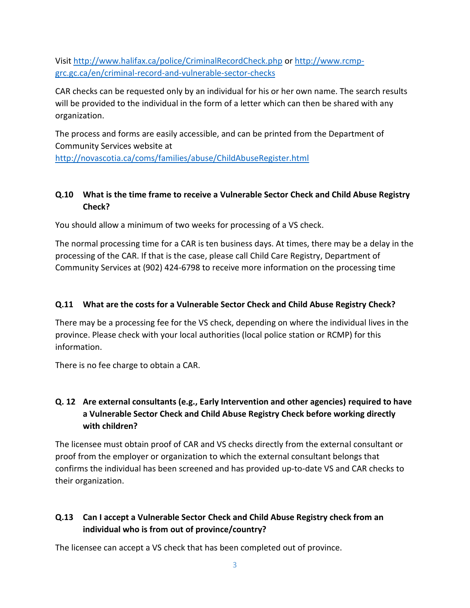Visit <http://www.halifax.ca/police/CriminalRecordCheck.php> or [http://www.rcmp](http://www.rcmp-grc.gc.ca/en/criminal-record-and-vulnerable-sector-checks)[grc.gc.ca/en/criminal-record-and-vulnerable-sector-checks](http://www.rcmp-grc.gc.ca/en/criminal-record-and-vulnerable-sector-checks)

CAR checks can be requested only by an individual for his or her own name. The search results will be provided to the individual in the form of a letter which can then be shared with any organization.

The process and forms are easily accessible, and can be printed from the Department of Community Services website at

<http://novascotia.ca/coms/families/abuse/ChildAbuseRegister.html>

## **Q.10 What is the time frame to receive a Vulnerable Sector Check and Child Abuse Registry Check?**

You should allow a minimum of two weeks for processing of a VS check.

The normal processing time for a CAR is ten business days. At times, there may be a delay in the processing of the CAR. If that is the case, please call Child Care Registry, Department of Community Services at (902) 424-6798 to receive more information on the processing time

## **Q.11 What are the costs for a Vulnerable Sector Check and Child Abuse Registry Check?**

There may be a processing fee for the VS check, depending on where the individual lives in the province. Please check with your local authorities (local police station or RCMP) for this information.

There is no fee charge to obtain a CAR.

## **Q. 12 Are external consultants (e.g., Early Intervention and other agencies) required to have a Vulnerable Sector Check and Child Abuse Registry Check before working directly with children?**

The licensee must obtain proof of CAR and VS checks directly from the external consultant or proof from the employer or organization to which the external consultant belongs that confirms the individual has been screened and has provided up-to-date VS and CAR checks to their organization.

# **Q.13 Can I accept a Vulnerable Sector Check and Child Abuse Registry check from an individual who is from out of province/country?**

The licensee can accept a VS check that has been completed out of province.